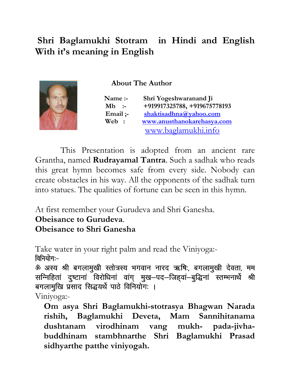# Shri Baglamukhi Stotram in Hindi and English With it's meaning in English

į

About The Author

 Name :- Shri Yogeshwaranand Ji Mb :- +919917325788, +919675778193 Email ;- shaktisadhna@yahoo.com Web : www.anusthanokarehasya.com www.baglamukhi.info

 This Presentation is adopted from an ancient rare Grantha, named Rudrayamal Tantra. Such a sadhak who reads this great hymn becomes safe from every side. Nobody can create obstacles in his way. All the opponents of the sadhak turn into statues. The qualities of fortune can be seen in this hymn.

At first remember your Gurudeva and Shri Ganesha.

Obeisance to Gurudeva.

Obeisance to Shri Ganesha

Take water in your right palm and read the Viniyoga:- विनियोग:-

ॐ अस्य श्री बगलामुखी स्तोत्रस्य भगवान नारद ऋषिः, बगलामुखी देवता, मम सन्निहितां दुष्टानां विरोधिनां वांग् मुख-पद-जिहवां-बुद्धिनां स्तम्भनार्थे श्री बगलामुखि प्रसाद सिद्धयर्थे पाठे विनियोगः ।

Viniyoga:-

Om asya Shri Baglamukhi-stotrasya Bhagwan Narada rishih, Baglamukhi Deveta, Mam Sannihitanama dushtanam virodhinam vang mukh- pada-jivhabuddhinam stambhnarthe Shri Baglamukhi Prasad sidhyarthe patthe viniyogah.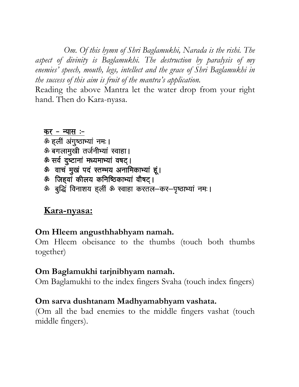Om. Of this hymn of Shri Baglamukhi, Narada is the rishi. The aspect of divinity is Baglamukhi. The destruction by paralysis of my enemies' speech, mouth, legs, intellect and the grace of Shri Baglamukhi in the success of this aim is fruit of the mantra's application.

Reading the above Mantra let the water drop from your right hand. Then do Kara-nyasa.

#### कर - न्यास :-ऊं हली अंगुष्ठाभ्यां नमः। ॐ बगलामुखी तर्जनीभ्यां स्वाहा। ऊं सर्व दुष्टानां मध्यमाभ्यां वषट्। ॐ वाचं मुखं पदं स्तम्भय अनामिकाभ्यां हूं। ॐ जिहवां कीलय कनिष्ठिकाभ्यां वौषट। ॐ बुद्धिं विनाशय ह्लीं ॐ स्वाहा करतल-कर-पृष्ठाभ्यां नमः।

# Kara-nyasa:

## Om Hleem angusthhabhyam namah.

Om Hleem obeisance to the thumbs (touch both thumbs together)

## Om Baglamukhi tarjnibhyam namah.

Om Baglamukhi to the index fingers Svaha (touch index fingers)

#### Om sarva dushtanam Madhyamabhyam vashata.

(Om all the bad enemies to the middle fingers vashat (touch middle fingers).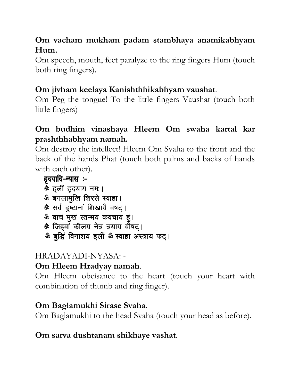## Om vacham mukham padam stambhaya anamikabhyam Hum.

Om speech, mouth, feet paralyze to the ring fingers Hum (touch both ring fingers).

# Om jivham keelaya Kanishthhikabhyam vaushat.

Om Peg the tongue! To the little fingers Vaushat (touch both little fingers)

## Om budhim vinashaya Hleem Om swaha kartal kar prashthhabhyam namah.

Om destroy the intellect! Hleem Om Svaha to the front and the back of the hands Phat (touch both palms and backs of hands with each other).

हृदयादि-न्यास :-ॐ हलीं हृदयाय नम:। ॐ बगलामुखि शिरसे स्वाहा। ऊं सर्व दुष्टानां शिखायै वषट्। ॐ वाचं मुखं स्तम्भय कवचाय हूं। ऊं जिहवां कीलय नेत्र त्रयाय वौषट्। ॐ बुद्धिं विनाशय हलीं ॐ स्वाहा अस्त्राय फट्।

# HRADAYADI-NYASA: -

# Om Hleem Hradyay namah.

Om Hleem obeisance to the heart (touch your heart with combination of thumb and ring finger).

# Om Baglamukhi Sirase Svaha.

Om Baglamukhi to the head Svaha (touch your head as before).

# Om sarva dushtanam shikhaye vashat.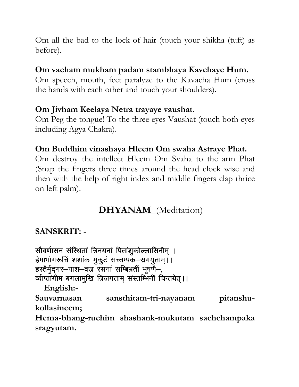Om all the bad to the lock of hair (touch your shikha (tuft) as before).

#### Om vacham mukham padam stambhaya Kavchaye Hum.

Om speech, mouth, feet paralyze to the Kavacha Hum (cross the hands with each other and touch your shoulders).

#### Om Jivham Keelaya Netra trayaye vaushat.

Om Peg the tongue! To the three eyes Vaushat (touch both eyes including Agya Chakra).

#### Om Buddhim vinashaya Hleem Om swaha Astraye Phat.

Om destroy the intellect Hleem Om Svaha to the arm Phat (Snap the fingers three times around the head clock wise and then with the help of right index and middle fingers clap thrice on left palm).

# DHYANAM (Meditation)

## SANSKRIT: -

सौवर्णासन संस्थितां त्रिनयनां पितांशुकोल्लासिनीम् । हेमाभागरूचि शशाक मुकुटं सच्चम्पक-सगयुताम् ।। हस्तैर्मुद्गर-पाश-वज्र रसनां सम्बिभ्रतीं भूषणै-, र्व्याप्तांगीम बगलामुखि त्रिजगताम् संस्तम्भिनीं चिन्तयेत् ।। English:-

Sauvarnasan sansthitam-tri-nayanam pitanshukollasineem;

Hema-bhang-ruchim shashank-mukutam sachchampaka sragyutam.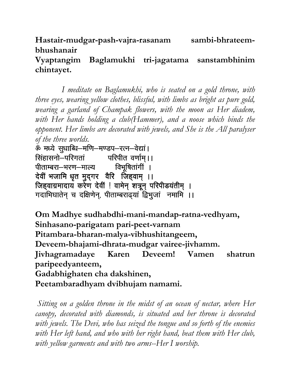Hastair-mudgar-pash-vajra-rasanam sambi-bhrateembhushanair

#### Vyaptangim Baglamukhi tri-jagatama sanstambhinim chintayet.

 I meditate on Baglamukhi, who is seated on a gold throne, with three eyes, wearing yellow clothes, blissful, with limbs as bright as pure gold, wearing a garland of Champak flowers, with the moon as Her diadem, with Her hands holding a club(Hammer), and a noose which binds the opponent. Her limbs are decorated with jewels, and She is the All paralyser of the three worlds.

ॐ मध्ये सुधाब्धि-मणि-मण्डप-रत्न-वेद्यां। <u>सिंहासनो–परिगतां परिपीत वर्णाम् ।।</u> पीताम्बरा–भरण–माल्य विभूषितांगी । देवीं भजामि धृत मुद्गर वैरि जिहवाम् ।। जिहवाग्रमादाय करेण देवीं ! वामेन् शत्रून् परिपीडयंतीम् । गदाभिघातेन् च दक्षिणेन्, पीताम्बराढ्यां द्विभुजां नमामि ।।

Om Madhye sudhabdhi-mani-mandap-ratna-vedhyam, Sinhasano-parigatam pari-peet-varnam Pitambara-bharan-malya-vibhushitangeem, Deveem-bhajami-dhrata-mudgar vairee-jivhamm. Jivhagramadaye Karen Deveem! Vamen shatrun paripeedyanteem, Gadabhighaten cha dakshinen, Peetambaradhyam dvibhujam namami.

 Sitting on a golden throne in the midst of an ocean of nectar, where Her canopy, decorated with diamonds, is situated and her throne is decorated with jewels. The Devi, who has seized the tongue and so forth of the enemies with Her left hand, and who with her right hand, beat them with Her club, with yellow garments and with two arms--Her I worship.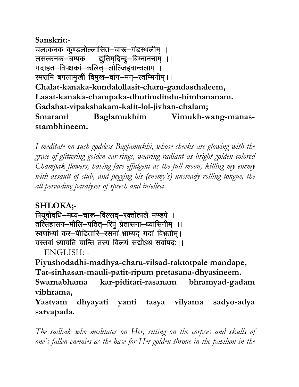Sanskrit:- चलत्कनक कूण्डलोल्लासित–चारू–गंडस्थलीम् । लसत्कनक-चम्पक द्युतिम्दिन्दु-बिम्नाननाम् ।। गदाहत–विपक्षकां–कलित्–लोल्जिहवान्चलाम् । स्मरामि बगलामुखीं विमुख–वांग–मन्–स्तम्भिनीम् ।। Chalat-kanaka-kundalollasit-charu-gandasthaleem, Lasat-kanaka-champaka-dhutimdindu-bimbananam. Gadahat-vipakshakam-kalit-lol-jivhan-chalam; Smarami Baglamukhim Vimukh-wang-manasstambhineem.

I meditate on such goddess Baglamukhi, whose cheeks are glowing with the grace of glittering golden ear-rings, wearing radiant as bright golden colored Champak flowers, having face effulgent as the full moon, killing my enemy with assault of club, and pegging his (enemy's) unsteady rolling tongue, the all pervading paralyser of speech and intellect.

SHLOKA;- पियूषोदधि-मध्य-चारू-विल्सद्-रक्तोत्पले मण्डपे । तत्सिंहासन-मौलि-पतित्-रिपुं प्रेतासना-ध्यासिनीम् ।। स्वर्णाभ्यां कर-पीडितारि-रसनां भ्राम्यद् गदां विभ्रतीम् । यस्तवां ध्यायति यान्ति तस्य विलयं सद्योऽथ सर्वापदः।।

ENGLISH: -

Piyushodadhi-madhya-charu-vilsad-raktotpale mandape, Tat-sinhasan-mauli-patit-ripum pretasana-dhyasineem. Swarnabhama kar-piditari-rasanam bhramyad-gadam vibhrama,

Yastvam dhyayati yanti tasya vilyama sadyo-adya sarvapada.

The sadhak who meditates on Her, sitting on the corpses and skulls of one's fallen enemies as the base for Her golden throne in the pavilion in the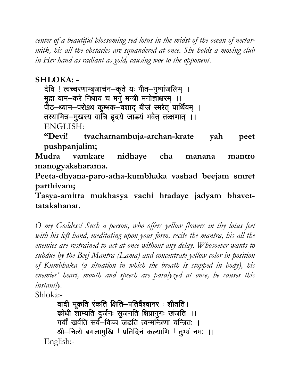center of a beautiful blossoming red lotus in the midst of the ocean of nectarmilk, his all the obstacles are squandered at once. She holds a moving club in Her hand as radiant as gold, causing woe to the opponent.

SHLOKA: -

देवि ! त्वच्चरणाम्बुजार्चन–कृते यः पीत–पुष्पांजलिम् । मुद्रा वाम-करे निधाय च मनु मन्त्री मनोज्ञाक्षरम् ।। पीठ-ध्यान-परोऽथ कुम्भक-वशाद् बीजं स्मरेत् पार्थिवम् । तस्यामित्र-मुखस्य वाचि हृदये जाडयं भवेत् तत्क्षणात् ।। ENGLISH:

"Devi! tvacharnambuja-archan-krate yah peet pushpanjalim;

Mudra vamkare nidhaye cha manana mantro manogyaksharama.

Peeta-dhyana-paro-atha-kumbhaka vashad beejam smret parthivam;

Tasya-amitra mukhasya vachi hradaye jadyam bhavettatakshanat.

O my Goddess! Such a person, who offers yellow flowers in thy lotus feet with his left hand, meditating upon your form, recite the mantra, his all the enemies are restrained to act at once without any delay. Whosoever wants to subdue by the Beej Mantra (Lama) and concentrate yellow color in position of Kumbhaka (a situation in which the breath is stopped in body), his enemies' heart, mouth and speech are paralyzed at once, he causes this instantly.

Shloka:-

वादी मूकति रंकति क्षिति–पतिर्वैश्वानर: शीतति । कोधी शाम्यति दुर्जनः सुजनति क्षिप्रानुगः खंजति ।। गर्वीं खर्वति सर्व–विच्च जडति त्वन्मन्त्रिणा यन्त्रितः । श्री-नित्ये बगलामुखि ! प्रतिदिनं कल्याणि ! तुभ्यं नमः ।। English:-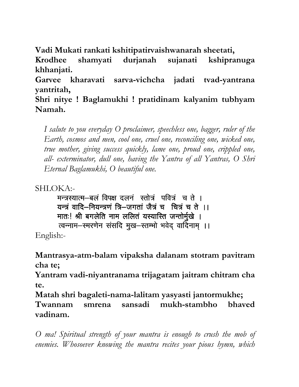Vadi Mukati rankati kshitipatirvaishwanarah sheetati,

Krodhee shamyati durjanah sujanati kshipranuga khhanjati.

Garvee kharavati sarva-vichcha jadati tvad-yantrana yantritah,

Shri nitye ! Baglamukhi ! pratidinam kalyanim tubhyam Namah.

I salute to you everyday O proclaimer, speechless one, bagger, ruler of the Earth, cosmos and men, cool one, cruel one, reconciling one, wicked one, true mother, giving success quickly, lame one, proud one, crippled one, all- exterminator, dull one, having the Yantra of all Yantras, O Shri Eternal Baglamukhi, O beautiful one.

SHLOKA:-

मन्त्रस्यात्म-बलं विपक्ष दलनं स्तोत्रं पवित्रं च ते । यन्त्रं वादि-नियन्त्रणं त्रि-जगतां जैत्रं च चित्रं च ते ।। मातः! श्री बगलेति नाम ललितं यस्यास्ति जन्तोर्मुखे । त्वन्नाम–स्मरणेन संसदि मुख–स्तम्भो भवेद वादिनाम् ।।

English:-

Mantrasya-atm-balam vipaksha dalanam stotram pavitram cha te;

Yantram vadi-niyantranama trijagatam jaitram chitram cha te.

Matah shri bagaleti-nama-lalitam yasyasti jantormukhe; Twannam smrena sansadi mukh-stambho bhaved vadinam.

O ma! Spiritual strength of your mantra is enough to crush the mob of enemies. Whosoever knowing the mantra recites your pious hymn, which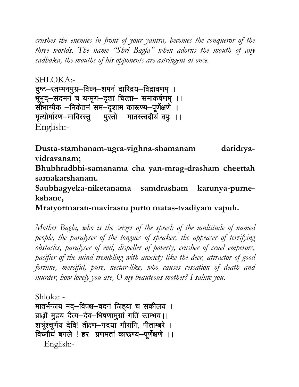crushes the enemies in front of your yantra, becomes the conqueror of the three worlds. The name "Shri Bagla" when adorns the mouth of any sadhaka, the mouths of his opponents are astringent at once.

SHLOKA:- दुष्ट–स्तम्भनमुग्र–विघ्न–शमनं दारिद्रय–विद्रावणम् । भूभृद्–संदमनं च यन्मृग–दृशां चित्ता– समाकर्षणम् ।। सौंभाग्यैक –निकेतनं सम–दृशाम कारूण्य–पूर्णेक्षणे । मृत्योर्मारण-माविरस्तु पुरतो मातस्त्वदीयं वपुः ।। English:-

Dusta-stamhanam-ugra-vighna-shamanam daridryavidravanam;

Bhubhradbhi-samanama cha yan-mrag-drasham cheettah samakarshanam.

Saubhagyeka-niketanama samdrasham karunya-purnekshane,

Mratyormaran-mavirastu purto matas-tvadiyam vapuh.

Mother Bagla, who is the seizer of the speech of the multitude of named people, the paralyser of the tongues of speaker, the appeaser of terrifying obstacles, paralyser of evil, dispeller of poverty, crusher of cruel emperors, pacifier of the mind trembling with anxiety like the deer, attractor of good fortune, merciful, pure, nectar-like, who causes cessation of death and murder, how lovely you are, O my beauteous mother? I salute you.

```
Shloka: - 
मातर्भन्जय मद्-विपक्ष-वदनं जिहवां च सकीलय ।
ब्राह्मीं मुद्रय दैत्य-देव-धिषणामुग्रां गतिं स्तम्भय ।।
शत्रूंश्चूर्णय देवि! तीक्ष्ण-गदया गौरांगि, पीताम्बरे ।
विघ्नौघं बगले ! हर प्रणमतां कारूण्य-पूर्णेक्षणे ।।
   English:-
```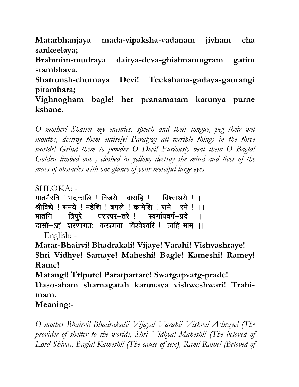Matarbhanjaya mada-vipaksha-vadanam jivham cha sankeelaya;

Brahmim-mudraya daitya-deva-ghishnamugram gatim stambhaya.

Shatrunsh-churnaya Devi! Teekshana-gadaya-gaurangi pitambara;

Vighnogham bagle! her pranamatam karunya purne kshane.

O mother! Shatter my enemies, speech and their tongue, peg their wet mouths, destroy them entirely! Paralyze all terrible things in the three worlds! Grind them to powder O Devi! Furiously beat them O Bagla! Golden limbed one , clothed in yellow, destroy the mind and lives of the mass of obstacles with one glance of your merciful large eyes.

SHLOKA: -

मातर्भैरवि ! भद्रकालि ! विजये ! वाराहि ! विश्वाश्रये ! । श्रीविद्ये ! समये ! महेशि ! बगले ! कामेशि ! रामे ! रमे ! ।। मातंगि ! त्रिपुरे ! परात्पर-तरे ! स्वर्गापवर्ग-प्रदे ! । दासो–ऽहं शरणागतः करूणया विश्वेश्वरि ! त्राहि माम ।। English: -

Matar-Bhairvi! Bhadrakali! Vijaye! Varahi! Vishvashraye! Shri Vidhye! Samaye! Maheshi! Bagle! Kameshi! Ramey! Rame!

Matangi! Tripure! Paratpartare! Swargapvarg-prade! Daso-aham sharnagatah karunaya vishweshwari! Trahimam.

Meaning:-

O mother Bhairvi! Bhadrakali! Vijaya! Varahi! Vishva! Ashraye! (The provider of shelter to the world), Shri Vidhya! Maheshi! (The beloved of Lord Shiva), Bagla! Kameshi! (The cause of sex), Ram! Rame! (Beloved of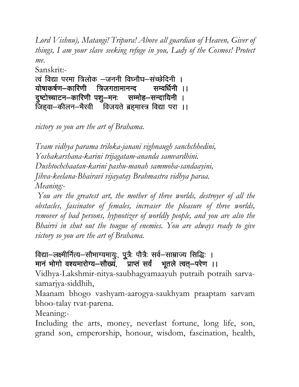Lord Vishnu), Matangi! Tripura! Above all guardian of Heaven, Giver of things, I am your slave seeking refuge in you, Lady of the Cosmos! Protect me.

Sanskrit:- त्वं विद्या परमा त्रिलोक –जननी विघ्नौघ–संच्छेदिनी । :योषाकर्षण–कारिणी त्रिजगतामानन्द सम्वर्धिनी ।। <u>दु</u>ष्टोच्चाटन–कारिणी पशु–मनः सम्मोह–सन्दायिनी ।  $\overline{1}$ जिहवा-कीलन-भैरवी विजयते ब्रहमास्त्र विद्या परा ।।

victory so you are the art of Brahama.

Tvam vidhya parama triloka-janani vighnaugh sanchchhedini, Yoshakarshana-karini trijagatam-ananda samvardhini. Dushtochchaatan-karini pashu-manah sammoha-sandaayini, Jihva-keelana-Bhairavi vijayatay Brahmastra vidhya paraa. Meaning:-

You are the greatest art, the mother of three worlds, destroyer of all the obstacles, fascinator of females, increaser the pleasure of three worlds, remover of bad persons, hypnotizer of worldly people, and you are also the Bhairvi in shut out the tougue of enemies. You are always ready to give victory so you are the art of Brahama.

## विद्या-लक्ष्मीर्नित्य-सौभाग्यमायुः, पुूत्रैः पौत्रैः सर्व-साम्राज्य सिद्धिः । मानं भोगो वश्यमारोग्य-सौख्यं, प्राप्तं सर्वं भूतले त्वत्-परेण ।।

Vidhya-Lakshmir-nitya-saubhagyamaayuh putraih potraih sarvasamarjya-siddhih,

Maanam bhogo vashyam-aarogya-saukhyam praaptam sarvam bhoo-talay tvat-parena.

Meaning:-

Including the arts, money, neverlast fortune, long life, son, grand son, emperorship, honour, wisdom, fascination, health,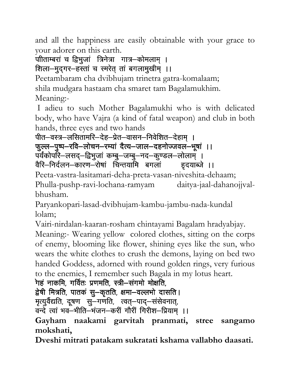and all the happiness are easily obtainable with your grace to your adorer on this earth.

# पीताम्बरां च द्विभुजां त्रिनेत्रा गात्र–कोमलाम् ।

# शिला-मुद्गर-हस्तां च स्मरेत् तां बगलामुखीम् ।।

Peetambaram cha dvibhujam trinetra gatra-komalaam; shila mudgara hastaam cha smaret tam Bagalamukhim. Meaning:-

 I adieu to such Mother Bagalamukhi who is with delicated body, who have Vajra (a kind of fatal weapon) and club in both hands, three eyes and two hands

पीत—वस्त्र—लसितामरि—देह—प्रेत—वासन—निवेशित—देहाम । फुल्ल-पुष्प-रवि-लोचन-रम्यां दैत्य-जाल-दहनोज्जवल-भूषां ।। पर्यकोपरि–लसद्–द्विभुजां कम्बु–जम्बु–नद–कुण्डल–लोलाम् । वैरि–निर्दलन–कारण–रोषां चिन्तयामि बगलां व्हृदयाब्जे ।।

Peeta-vastra-lasitamari-deha-preta-vasan-niveshita-dehaam; Phulla-pushp-ravi-lochana-ramyam daitya-jaal-dahanojjvalbhusham.

Paryankopari-lasad-dvibhujam-kambu-jambu-nada-kundal lolam;

Vairi-nirdalan-kaaran-rosham chintayami Bagalam hradyabjay.

Meaning:- Wearing yellow colored clothes, sitting on the corps of enemy, blooming like flower, shining eyes like the sun, who wears the white clothes to crush the demons, laying on bed two handed Goddess, adorned with round golden rings, very furious to the enemies, I remember such Bagala in my lotus heart.

```
गहं नाकमि, गर्वितः प्रणमति, स्त्री–संगमो मोक्षति,
```

```
द्वेषी मित्रति, पातकं सू–कृतति, क्षमा–वल्लभो दासति ।
```
मृत्युर्वैद्यति, दूषण सु—गणति, त्वत्—पाद्—संसेवनात्,

वन्दे त्वां भव–भीति–भंजन–करीं गौरी गिरीश–प्रियाम् ।।

Gayham naakami garvitah pranmati, stree sangamo mokshati,

Dveshi mitrati patakam sukratati kshama vallabho daasati.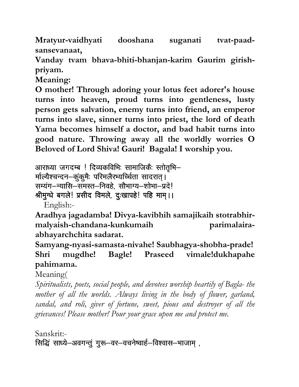Mratyur-vaidhyati dooshana suganati tvat-paadsansevanaat,

Vanday tvam bhava-bhiti-bhanjan-karim Gaurim girishpriyam.

Meaning:

O mother! Through adoring your lotus feet adorer's house turns into heaven, proud turns into gentleness, lusty person gets salvation, enemy turns into friend, an emperor turns into slave, sinner turns into priest, the lord of death Yama becomes himself a doctor, and bad habit turns into good nature. Throwing away all the worldly worries O Beloved of Lord Shiva! Gauri! Bagala! I worship you.

```
आराध्या जगदम्ब ! दिव्यकविभिः सामाजिकैः स्तोतुभि–
मल्यिश्चन्दन-कुंकुमैः परिमलैरभ्यच्चिंता सादरात् ।
```

```
सम्यंग-न्यासि-समस्त-निवहे, सौभाग्य-शोभा-प्रदे!
```
श्रीमुग्धे बगले! प्रसीद विमले, दुःखापहे! पहि माम् ।।

English:-

Aradhya jagadamba! Divya-kavibhih samajikaih stotrabhirmalyaish-chandana-kunkumaih parimalairaabhayarchchita sadarat.

Samyang-nyasi-samasta-nivahe! Saubhagya-shobha-prade! Shri mugdhe! Bagle! Praseed vimale!dukhapahe pahimama.

Meaning(

Spiritualists, poets, social people, and devotees worship heartily of Bagla- the mother of all the worlds. Always living in the body of flower, garland, sandal, and roli, giver of fortune, sweet, pious and destroyer of all the grievances! Please mother! Pour your grace upon me and protect me.

Sanskrit:- सिद्धिं साध्ये-अवगन्तुं गुरू-वर-वचनेष्वार्ह-विश्वास-भाजाम्,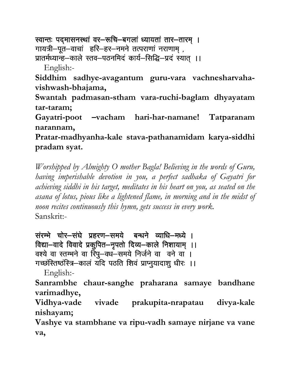स्वान्तः पदमासनस्थां वर–रूचि–बगलां ध्यायतां तार–तारम् । गायत्री-पूत-वाचां हरि-हर-नमने तत्पराणां नराणाम् , प्रातर्मध्यान्ह–काले स्तव–पठनमिदं कार्य–सिद्धि–प्रदं स्यात् ।। English:-

Siddhim sadhye-avagantum guru-vara vachnesharvahavishwash-bhajama,

Swantah padmasan-stham vara-ruchi-baglam dhyayatam tar-taram:

Gayatri-poot -vacham hari-har-namane! Tatparanam narannam,

Pratar-madhyanha-kale stava-pathanamidam karya-siddhi pradam syat.

Worshipped by Almighty O mother Bagla! Believing in the words of Guru, having imperishable devotion in you, a perfect sadhaka of Gayatri for achieving siddhi in his target, meditates in his heart on you, as seated on the asana of lotus, pious like a lightened flame, in morning and in the midst of noon recites continuously this hymn, gets success in every work. Sanskrit:-

संरम्भे चोर-संघे प्रहरण-समये बन्धने व्याधि-मध्ये । विद्या-वादे विवादे प्रकूपित-नृपतो दिव्य-काले निशायाम् ।। वश्ये वा स्तम्भने वा रिपु-वध-समये निर्जने वा वने वा । गच्छस्तिष्ठस्त्रि-कालं यदि पठति शिवं प्राप्नुयादाशु धीरः ।।

English:-

Sanrambhe chaur-sanghe praharana samaye bandhane varimadhye,

Vidhya-vade vivade prakupita-nrapatau divya-kale nishayam;

Vashye va stambhane va ripu-vadh samaye nirjane va vane va,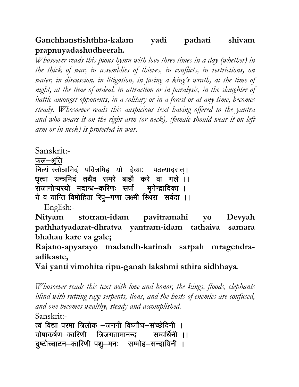Ganchhanstishthha-kalam yadi pathati shiyam prapnuyadashudheerah.

Whosoever reads this pious hymn with love three times in a day (whether) in the thick of war, in assemblies of thieves, in conflicts, in restrictions, on water, in discussion, in litigation, in facing a king's wrath, at the time of night, at the time of ordeal, in attraction or in paralysis, in the slaughter of battle amongst opponents, in a solitary or in a forest or at any time, becomes steady. Whosoever reads this auspicious text having offered to the yantra and who wears it on the right arm (or neck), (female should wear it on left arm or in neck) is protected in war.

Sanskrit:-

फल—श्रुति

नित्यं स्तोत्रामिदं पवित्रमिह यो देव्याः पठत्यादरात्। धत्वा यन्त्रमिदं तथैव समरे बाहौ करे वा गले ।। राजानोप्यरयो मदान्ध—करिणः सर्पा मगेन्द्रादिका । ये व यान्ति विमोहिता रिपु-गणा लक्ष्मी स्थिरा सर्वदा ।।

English:-

Nityam stotram-idam pavitramahi Devyah  $\mathbf{V}\mathbf{O}$ pathhatyadarat-dhratva yantram-idam tathaiva samara bhahau kare va gale;

Rajano-apyarayo madandh-karinah sarpah mragendraadikaste,

Vai yanti vimohita ripu-ganah lakshmi sthira sidhhaya.

Whosoever reads this text with love and honor, the kings, floods, elephants blind with rutting rage serpents, lions, and the hosts of enemies are confused, and one becomes wealthy, steady and accomplished. Sanskrit:-

त्वं विद्या परमा त्रिलोक –जननी विघ्नौघ–संच्छेदिनी । योषाकर्षण–कारिणी त्रिजगतामानन्द सम्वर्धिनी ।। दृष्टोच्चाटन–कारिणी पशु–मनः सम्मोह–सन्दायिनी ।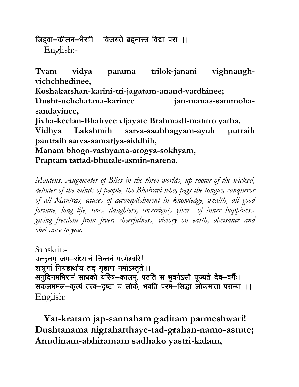जिहवा-कीलन-भैरवी विजयते ब्रहमास्त्र विद्या परा ।। English:-

Tvam vidya trilok-janani vighnaughparama vichchhedinee,

Koshakarshan-karini-tri-jagatam-anand-vardhinee;

Dusht-uchchatana-karinee jan-manas-sammohasandayinee,

Jivha-keelan-Bhairvee vijayate Brahmadi-mantro yatha.

Vidhya Lakshmih sarva-saubhagyam-ayuh putraih pautraih sarva-samarjya-siddhih,

Manam bhogo-vashyama-arogya-sokhyam, Praptam tattad-bhutale-asmin-narena.

Maidens, Augmenter of Bliss in the three worlds, up rooter of the wicked, deluder of the minds of people, the Bhairavi who, pegs the tongue, conqueror of all Mantras, causes of accomplishment in knowledge, wealth, all good fortune, long life, sons, daughters, sovereignty giver of inner happiness, giving freedom from fever, cheerfulness, victory on earth, obeisance and obeisance to you.

Sanskrit:-

यत्कृतम् जप-संध्यानं चिन्तनं परमेश्वरि! शत्रूणां निग्रहार्थाय तद् गृहाण नमोऽस्तुते ।। अनुदिनमभिरामं साधको यस्त्रि–कालम्, पठति स भुवनेऽसौ पूज्यते देव–वर्गैः। सकलममल-कृत्यं तत्व-दृष्टा च लोके, भवति परम-सिद्धा लोकमाता पराम्बा ।। English:

Yat-kratam jap-sannaham gaditam parmeshwari! Dushtanama nigraharthaye-tad-grahan-namo-astute; Anudinam-abhiramam sadhako yastri-kalam,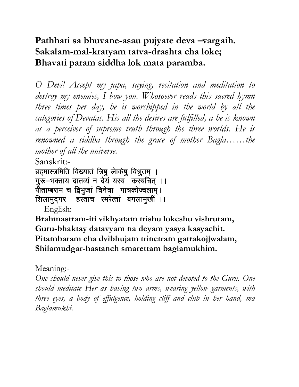# Pathhati sa bhuvane-asau pujyate deva –vargaih. Sakalam-mal-kratyam tatva-drashta cha loke; Bhavati param siddha lok mata paramba.

O Devi! Accept my japa, saying, recitation and meditation to destroy my enemies, I bow you. Whosoever reads this sacred hymn three times per day, he is worshipped in the world by all the categories of Devatas. His all the desires are fulfilled, a he is known as a perceiver of supreme truth through the three worlds. He is renowned a siddha through the grace of mother Bagla……the mother of all the universe.

Sanskrit:-

ब्रहमास्त्रमिति विख्यातं त्रिषु लेाकेषु विश्रुतम् । गुरू-भक्ताय दातव्यं न देयं यस्य कस्यचित् ।। पीताम्बराम च द्विभुजां त्रिनेत्रा गात्रकोज्वलाम्। शिलामुद्गर हस्तांच स्मरेत्तां बगलामुखीं ।।

English:

Brahmastram-iti vikhyatam trishu lokeshu vishrutam, Guru-bhaktay datavyam na deyam yasya kasyachit. Pitambaram cha dvibhujam trinetram gatrakojjwalam, Shilamudgar-hastanch smarettam baglamukhim.

# Meaning:-

One should never give this to those who are not devoted to the Guru. One should meditate Her as having two arms, wearing yellow garments, with three eyes, a body of effulgence, holding cliff and club in her hand, ma Baglamukhi.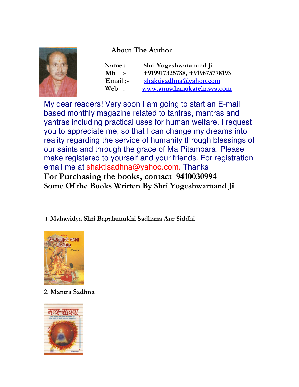#### About The Author



| Name:-    | Shri Yogeshwaranand Ji       |
|-----------|------------------------------|
| $Mb :=$   | +919917325788, +919675778193 |
| Email $:$ | shaktisadhna@yahoo.com       |
| Web:      | www.anusthanokarehasya.com   |

My dear readers! Very soon I am going to start an E-mail based monthly magazine related to tantras, mantras and yantras including practical uses for human welfare. I request you to appreciate me, so that I can change my dreams into reality regarding the service of humanity through blessings of our saints and through the grace of Ma Pitambara. Please make registered to yourself and your friends. For registration email me at shaktisadhna@yahoo.com. Thanks For Purchasing the books, contact 9410030994 Some Of the Books Written By Shri Yogeshwarnand Ji

1. Mahavidya Shri Bagalamukhi Sadhana Aur Siddhi



2. Mantra Sadhna